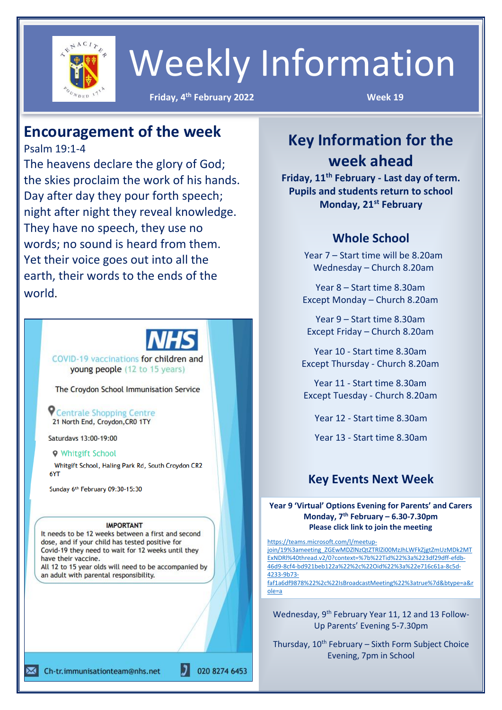

## Weekly Information

**Example 2022 Week 19** 

### **Encouragement of the week**

Psalm 19:1-4

The heavens declare the glory of God; the skies proclaim the work of his hands. Day after day they pour forth speech; night after night they reveal knowledge. They have no speech, they use no words; no sound is heard from them. Yet their voice goes out into all the earth, their words to the ends of the world.

COVID-19 vaccinations for children and young people (12 to 15 years)

The Croydon School Immunisation Service

**P** Centrale Shopping Centre 21 North End, Croydon, CRO 1TY

Saturdays 13:00-19:00

### **9** Whitgift School

Whitgift School, Haling Park Rd, South Croydon CR2 **6YT** 

Sunday 6th February 09:30-15:30

### **IMPORTANT**

It needs to be 12 weeks between a first and second dose, and if your child has tested positive for Covid-19 they need to wait for 12 weeks until they have their vaccine. All 12 to 15 year olds will need to be accompanied by an adult with parental responsibility.

020 8274 6453

### **Key Information for the week ahead**

**Friday, 11th February - Last day of term. Pupils and students return to school Monday, 21st February**

### **Whole School**

Year 7 – Start time will be 8.20am Wednesday – Church 8.20am

Year 8 – Start time 8.30am Except Monday – Church 8.20am

Year 9 – Start time 8.30am Except Friday – Church 8.20am

Year 10 - Start time 8.30am Except Thursday - Church 8.20am

Year 11 - Start time 8.30am Except Tuesday - Church 8.20am

Year 12 - Start time 8.30am

Year 13 - Start time 8.30am

### **Key Events Next Week**

**Year 9 'Virtual' Options Evening for Parents' and Carers Monday, 7 th February – 6.30-7.30pm Please click link to join the meeting**

[https://teams.microsoft.com/l/meetup](https://teams.microsoft.com/l/meetup-join/19%3ameeting_ZGEwMDZlNzQtZTRlZi00MzJhLWFkZjgtZmUzMDk2MTExNDRl%40thread.v2/0?context=%7b%22Tid%22%3a%223df29dff-efdb-46d9-8cf4-bd921beb122a%22%2c%22Oid%22%3a%22e716c61a-8c5d-4233-9b73-faf1a6df9878%22%2c%22IsBroadcastMeeting%22%3atrue%7d&btype=a&role=a)[join/19%3ameeting\\_ZGEwMDZlNzQtZTRlZi00MzJhLWFkZjgtZmUzMDk2MT](https://teams.microsoft.com/l/meetup-join/19%3ameeting_ZGEwMDZlNzQtZTRlZi00MzJhLWFkZjgtZmUzMDk2MTExNDRl%40thread.v2/0?context=%7b%22Tid%22%3a%223df29dff-efdb-46d9-8cf4-bd921beb122a%22%2c%22Oid%22%3a%22e716c61a-8c5d-4233-9b73-faf1a6df9878%22%2c%22IsBroadcastMeeting%22%3atrue%7d&btype=a&role=a) [ExNDRl%40thread.v2/0?context=%7b%22Tid%22%3a%223df29dff-efdb-](https://teams.microsoft.com/l/meetup-join/19%3ameeting_ZGEwMDZlNzQtZTRlZi00MzJhLWFkZjgtZmUzMDk2MTExNDRl%40thread.v2/0?context=%7b%22Tid%22%3a%223df29dff-efdb-46d9-8cf4-bd921beb122a%22%2c%22Oid%22%3a%22e716c61a-8c5d-4233-9b73-faf1a6df9878%22%2c%22IsBroadcastMeeting%22%3atrue%7d&btype=a&role=a)[46d9-8cf4-bd921beb122a%22%2c%22Oid%22%3a%22e716c61a-8c5d-](https://teams.microsoft.com/l/meetup-join/19%3ameeting_ZGEwMDZlNzQtZTRlZi00MzJhLWFkZjgtZmUzMDk2MTExNDRl%40thread.v2/0?context=%7b%22Tid%22%3a%223df29dff-efdb-46d9-8cf4-bd921beb122a%22%2c%22Oid%22%3a%22e716c61a-8c5d-4233-9b73-faf1a6df9878%22%2c%22IsBroadcastMeeting%22%3atrue%7d&btype=a&role=a)[4233-9b73](https://teams.microsoft.com/l/meetup-join/19%3ameeting_ZGEwMDZlNzQtZTRlZi00MzJhLWFkZjgtZmUzMDk2MTExNDRl%40thread.v2/0?context=%7b%22Tid%22%3a%223df29dff-efdb-46d9-8cf4-bd921beb122a%22%2c%22Oid%22%3a%22e716c61a-8c5d-4233-9b73-faf1a6df9878%22%2c%22IsBroadcastMeeting%22%3atrue%7d&btype=a&role=a) [faf1a6df9878%22%2c%22IsBroadcastMeeting%22%3atrue%7d&btype=a&r](https://teams.microsoft.com/l/meetup-join/19%3ameeting_ZGEwMDZlNzQtZTRlZi00MzJhLWFkZjgtZmUzMDk2MTExNDRl%40thread.v2/0?context=%7b%22Tid%22%3a%223df29dff-efdb-46d9-8cf4-bd921beb122a%22%2c%22Oid%22%3a%22e716c61a-8c5d-4233-9b73-faf1a6df9878%22%2c%22IsBroadcastMeeting%22%3atrue%7d&btype=a&role=a)

[ole=a](https://teams.microsoft.com/l/meetup-join/19%3ameeting_ZGEwMDZlNzQtZTRlZi00MzJhLWFkZjgtZmUzMDk2MTExNDRl%40thread.v2/0?context=%7b%22Tid%22%3a%223df29dff-efdb-46d9-8cf4-bd921beb122a%22%2c%22Oid%22%3a%22e716c61a-8c5d-4233-9b73-faf1a6df9878%22%2c%22IsBroadcastMeeting%22%3atrue%7d&btype=a&role=a)

Wednesday, 9<sup>th</sup> February Year 11, 12 and 13 Follow-Up Parents' Evening 5-7.30pm

Thursday, 10<sup>th</sup> February – Sixth Form Subject Choice Evening, 7pm in School